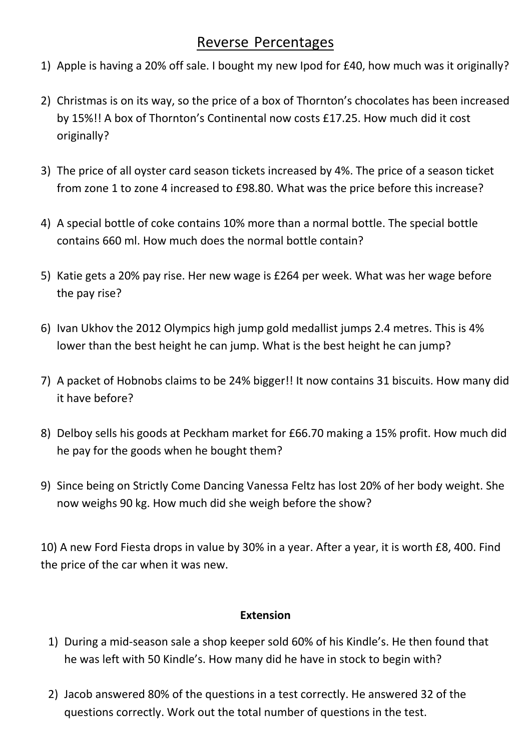## Reverse Percentages

- 1) Apple is having a 20% off sale. I bought my new Ipod for £40, how much was it originally?
- 2) Christmas is on its way, so the price of a box of Thornton's chocolates has been increased by 15%!! A box of Thornton's Continental now costs £17.25. How much did it cost originally?
- 3) The price of all oyster card season tickets increased by 4%. The price of a season ticket from zone 1 to zone 4 increased to £98.80. What was the price before this increase?
- 4) A special bottle of coke contains 10% more than a normal bottle. The special bottle contains 660 ml. How much does the normal bottle contain?
- 5) Katie gets a 20% pay rise. Her new wage is £264 per week. What was her wage before the pay rise?
- 6) Ivan Ukhov the 2012 Olympics high jump gold medallist jumps 2.4 metres. This is 4% lower than the best height he can jump. What is the best height he can jump?
- 7) A packet of Hobnobs claims to be 24% bigger!! It now contains 31 biscuits. How many did it have before?
- 8) Delboy sells his goods at Peckham market for £66.70 making a 15% profit. How much did he pay for the goods when he bought them?
- 9) Since being on Strictly Come Dancing Vanessa Feltz has lost 20% of her body weight. She now weighs 90 kg. How much did she weigh before the show?

10) A new Ford Fiesta drops in value by 30% in a year. After a year, it is worth £8, 400. Find the price of the car when it was new.

## **Extension**

- 1) During a mid-season sale a shop keeper sold 60% of his Kindle's. He then found that he was left with 50 Kindle's. How many did he have in stock to begin with?
- 2) Jacob answered 80% of the questions in a test correctly. He answered 32 of the questions correctly. Work out the total number of questions in the test.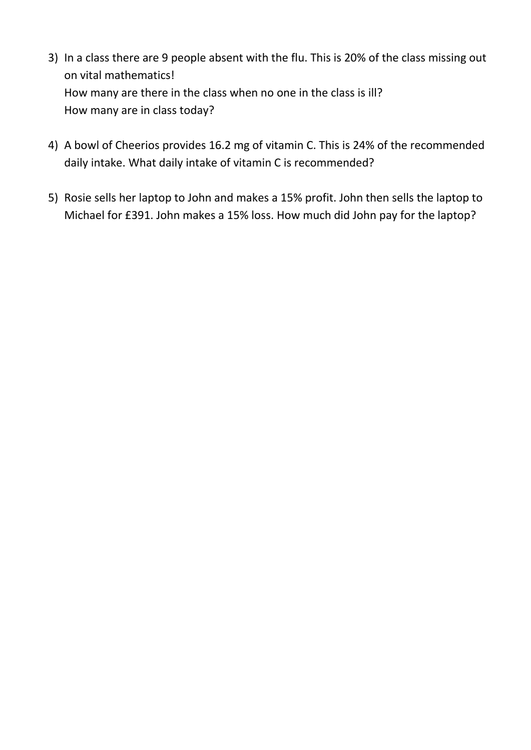- 3) In a class there are 9 people absent with the flu. This is 20% of the class missing out on vital mathematics! How many are there in the class when no one in the class is ill? How many are in class today?
- 4) A bowl of Cheerios provides 16.2 mg of vitamin C. This is 24% of the recommended daily intake. What daily intake of vitamin C is recommended?
- 5) Rosie sells her laptop to John and makes a 15% profit. John then sells the laptop to Michael for £391. John makes a 15% loss. How much did John pay for the laptop?